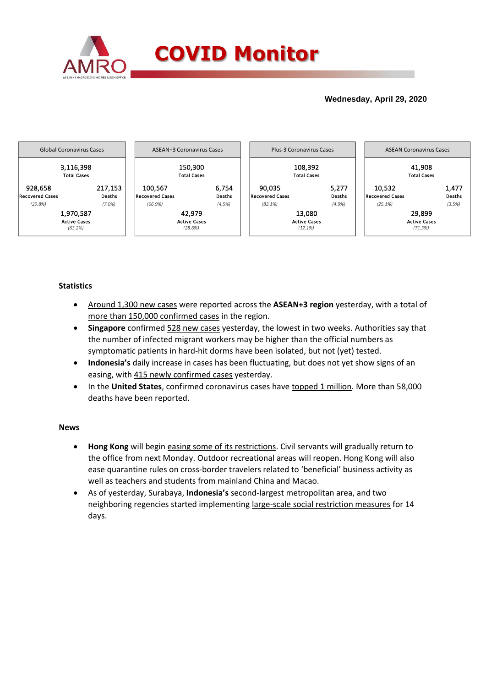

## **Wednesday, April 29, 2020**



## **Statistics**

- Around 1,300 new cases were reported across the **ASEAN+3 region** yesterday, with a total of more than 150,000 confirmed cases in the region.
- **Singapore** confirmed 528 new cases yesterday, the lowest in two weeks. Authorities say that the number of infected migrant workers may be higher than the official numbers as symptomatic patients in hard-hit dorms have been isolated, but not (yet) tested.
- **Indonesia's** daily increase in cases has been fluctuating, but does not yet show signs of an easing, with 415 newly confirmed cases yesterday.
- In the **United States**, confirmed coronavirus cases have topped 1 million. More than 58,000 deaths have been reported.

## **News**

- **Hong Kong** will begin easing some of its restrictions. Civil servants will gradually return to the office from next Monday. Outdoor recreational areas will reopen. Hong Kong will also ease quarantine rules on cross-border travelers related to 'beneficial' business activity as well as teachers and students from mainland China and Macao.
- As of yesterday, Surabaya, **Indonesia's** second-largest metropolitan area, and two neighboring regencies started implementing large-scale social restriction measures for 14 days.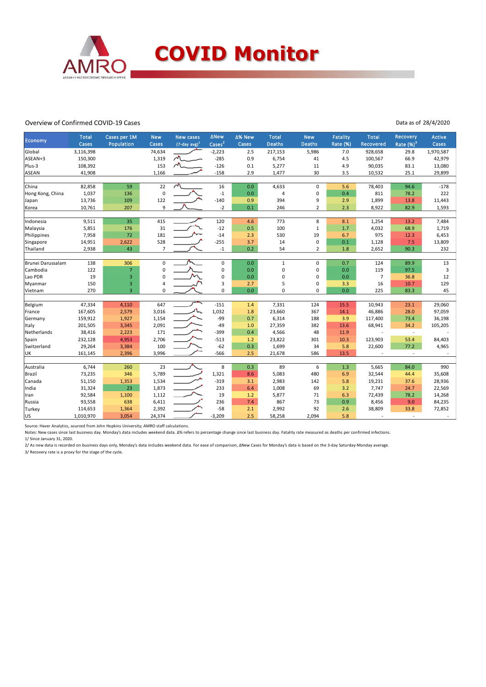

### Overview of Confirmed COVID-19 Cases

#### Data as of 28/4/2020

| Economy                 | <b>Total</b>   | Cases per 1M            | <b>New</b>     | <b>New cases</b>    | ∆New               | Δ% New     | <b>Total</b>   | <b>New</b>       | <b>Fatality</b> | <b>Total</b>         | Recovery      | Active         |
|-------------------------|----------------|-------------------------|----------------|---------------------|--------------------|------------|----------------|------------------|-----------------|----------------------|---------------|----------------|
|                         | Cases          | Population              | Cases          | $(7$ -day avg $)^1$ | Cases <sup>2</sup> | Cases      | <b>Deaths</b>  | <b>Deaths</b>    | Rate (%)        | Recovered            | Rate $(\%)^3$ | Cases          |
| Global                  | 3,116,398      |                         | 74,634         |                     | $-2,223$           | 2.5        | 217,153        | 5,986            | 7.0             | 928,658              | 29.8          | 1,970,587      |
| ASEAN+3                 | 150,300        |                         | 1,319          | $\sim$              | $-285$             | 0.9        | 6,754          | 41               | 4.5             | 100,567              | 66.9          | 42,979         |
| Plus-3                  | 108,392        |                         | 153            | $\sim$              | $-126$             | 0.1        | 5,277          | 11               | 4.9             | 90,035               | 83.1          | 13,080         |
| ASEAN                   | 41,908         |                         | 1,166          |                     | $-158$             | 2.9        | 1,477          | 30               | 3.5             | 10,532               | 25.1          | 29,899         |
| China                   | 82,858         | 59                      | 22             | $\lambda$           | 16                 | 0.0        | 4,633          | $\mathbf 0$      | 5.6             | 78,403               | 94.6          | $-178$         |
| Hong Kong, China        | 1,037          | 136                     | $\pmb{0}$      |                     | $^{\rm -1}$        | 0.0        | 4              | $\pmb{0}$        | 0.4             | 811                  | 78.2          | 222            |
| Japan                   | 13,736         | 109                     | 122            |                     | $-140$             | 0.9        | 394            | 9                | 2.9             | 1,899                | 13.8          | 11,443         |
| Korea                   | 10,761         | 207                     | 9              |                     | $-2$               | 0.1        | 246            | $\overline{2}$   | 2.3             | 8,922                | 82.9          | 1,593          |
|                         |                |                         |                |                     |                    |            |                |                  |                 |                      |               |                |
| Indonesia               | 9,511<br>5,851 | 35<br>176               | 415<br>31      |                     | 120<br>$-12$       | 4.6<br>0.5 | 773<br>100     | 8<br>$\mathbf 1$ | 8.1<br>1.7      | 1,254<br>4,032       | 13.2<br>68.9  | 7,484<br>1,719 |
| Malaysia<br>Philippines | 7,958          | 72                      | 181            |                     | $-14$              | 2.3        | 530            | 19               | 6.7             | 975                  | 12.3          | 6,453          |
| Singapore               | 14,951         | 2,622                   | 528            |                     | $-255$             | 3.7        | 14             | 0                | 0.1             | 1,128                | 7.5           | 13,809         |
| Thailand                | 2,938          | 43                      | $\overline{7}$ |                     | $^{\rm -1}$        | 0.2        | 54             | $\overline{2}$   | 1.8             | 2,652                | 90.3          | 232            |
|                         |                |                         |                |                     |                    |            |                |                  |                 |                      |               |                |
| Brunei Darussalam       | 138            | 306                     | 0              |                     | 0                  | 0.0        | $\mathbf{1}$   | 0                | 0.7             | 124                  | 89.9          | 13             |
| Cambodia                | 122            | $\overline{7}$          | $\mathbf 0$    |                     | $\pmb{0}$          | 0.0        | $\mathbf 0$    | 0                | 0.0             | 119                  | 97.5          | 3              |
| Lao PDR                 | 19             | $\overline{\mathbf{3}}$ | $\mathbf 0$    |                     | $\mathbf 0$        | 0.0        | $\overline{0}$ | 0                | 0.0             | 7                    | 36.8          | 12             |
| Myanmar                 | 150            | $\overline{3}$          | 4              |                     | 3                  | 2.7        | 5              | 0                | 3.3             | 16                   | 10.7          | 129            |
| Vietnam                 | 270            | $\overline{3}$          | 0              |                     | $\mathbf 0$        | 0.0        | $\mathbf 0$    | 0                | 0.0             | 225                  | 83.3          | 45             |
| Belgium                 | 47,334         | 4,110                   | 647            |                     | $-151$             | 1.4        | 7,331          | 124              | 15.5            | 10,943               | 23.1          | 29,060         |
| France                  | 167,605        | 2,579                   | 3,016          |                     | 1,032              | 1.8        | 23,660         | 367              | 14.1            | 46,886               | 28.0          | 97,059         |
| Germany                 | 159,912        | 1,927                   | 1,154          |                     | -99                | 0.7        | 6,314          | 188              | 3.9             | 117,400              | 73.4          | 36,198         |
| Italy                   | 201,505        | 3,345                   | 2,091          |                     | $-49$              | 1.0        | 27,359         | 382              | 13.6            | 68,941               | 34.2          | 105,205        |
| Netherlands             | 38,416         | 2,223                   | 171            |                     | $-399$             | 0.4        | 4,566          | 48               | 11.9            | $\ddot{\phantom{1}}$ | $\sim$        |                |
| Spain                   | 232,128        | 4,953                   | 2,706          |                     | $-513$             | 1.2        | 23,822         | 301              | 10.3            | 123,903              | 53.4          | 84,403         |
| Switzerland             | 29,264         | 3,384                   | 100            |                     | $-62$              | 0.3        | 1,699          | 34               | 5.8             | 22,600               | 77.2          | 4,965          |
| UK                      | 161,145        | 2,396                   | 3,996          |                     | $-566$             | 2.5        | 21,678         | 586              | 13.5            |                      |               |                |
|                         |                |                         |                |                     |                    |            |                |                  |                 |                      |               |                |
| Australia               | 6,744          | 260                     | 23             |                     | 8                  | 0.3        | 89             | 6                | 1.3             | 5,665                | 84.0          | 990            |
| Brazil                  | 73,235         | 346                     | 5,789          |                     | 1,321              | 8.6        | 5,083          | 480              | 6.9             | 32,544               | 44.4          | 35,608         |
| Canada                  | 51,150         | 1,353                   | 1,534          |                     | $-319$             | 3.1        | 2,983          | 142              | 5.8             | 19,231               | 37.6          | 28,936         |
| India                   | 31,324         | 23                      | 1,873          |                     | 233                | 6.4        | 1,008          | 69               | 3.2             | 7,747                | 24.7          | 22,569         |
| Iran                    | 92,584         | 1,100                   | 1,112          |                     | 19                 | 1.2        | 5,877          | 71               | 6.3             | 72,439               | 78.2          | 14,268         |
| Russia                  | 93,558         | 638                     | 6,411          |                     | 236                | 7.4        | 867            | 73               | 0.9             | 8,456                | 9.0           | 84,235         |
| Turkey                  | 114,653        | 1,364                   | 2,392          |                     | $-58$              | 2.1        | 2,992          | 92               | 2.6             | 38,809               | 33.8          | 72,852         |
| US                      | 1,010,970      | 3,054                   | 24,374         |                     | $-3,209$           | 2.5        | 58,258         | 2,094            | 5.8             |                      |               |                |

Source: Haver Analytics, sourced from John Hopkins University; AMRO staff calculations.

Notes: New cases since last business day. Monday's data includes weekend data. Δ% refers to percentage change since last business day. Fatality rate measured as deaths per confirmed infections. 1/ Since January 31, 2020.

2/ As new data is recorded on business days only, Monday's data includes weekend data. For ease of comparison, ANew Cases for Monday's data is based on the 3-day Saturday-Monday average.<br>3/ Recovery rate is a proxy for the